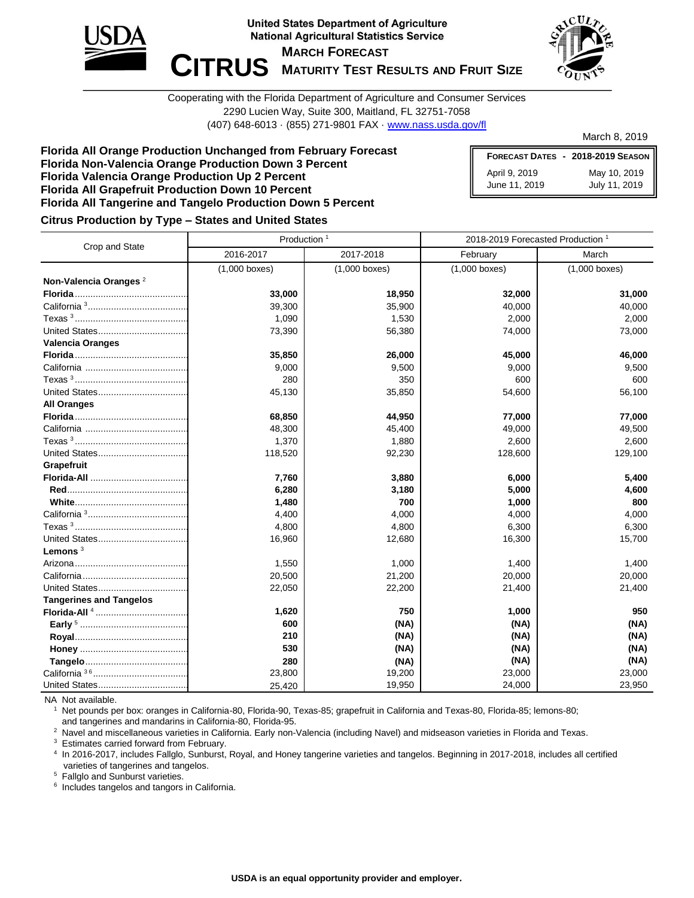



March 8, 2019

Cooperating with the Florida Department of Agriculture and Consumer Services 2290 Lucien Way, Suite 300, Maitland, FL 32751-7058 (407) 648-6013 · (855) 271-9801 FAX · [www.nass.usda.gov/fl](http://www.nass.usda.gov/fl)

#### **Florida All Orange Production Unchanged from February Forecast Florida Non-Valencia Orange Production Down 3 Percent Florida Valencia Orange Production Up 2 Percent Florida All Grapefruit Production Down 10 Percent Florida All Tangerine and Tangelo Production Down 5 Percent**

**FORECAST DATES - 2018-2019 SEASON** April 9, 2019 May 10, 2019 June 11, 2019 July 11, 2019

#### **Citrus Production by Type – States and United States**

|                                   | Production <sup>1</sup> |                 | 2018-2019 Forecasted Production <sup>1</sup> |                 |  |  |
|-----------------------------------|-------------------------|-----------------|----------------------------------------------|-----------------|--|--|
| Crop and State                    | 2016-2017               | 2017-2018       | February                                     | March           |  |  |
|                                   | $(1,000$ boxes)         | $(1,000$ boxes) | $(1,000$ boxes)                              | $(1,000$ boxes) |  |  |
| Non-Valencia Oranges <sup>2</sup> |                         |                 |                                              |                 |  |  |
|                                   | 33,000                  | 18,950          | 32,000                                       | 31,000          |  |  |
|                                   | 39,300                  | 35,900          | 40,000                                       | 40,000          |  |  |
|                                   | 1,090                   | 1,530           | 2,000                                        | 2,000           |  |  |
|                                   | 73,390                  | 56,380          | 74,000                                       | 73,000          |  |  |
| <b>Valencia Oranges</b>           |                         |                 |                                              |                 |  |  |
|                                   | 35,850                  | 26,000          | 45,000                                       | 46,000          |  |  |
|                                   | 9,000                   | 9,500           | 9,000                                        | 9,500           |  |  |
|                                   | 280                     | 350             | 600                                          | 600             |  |  |
|                                   | 45,130                  | 35,850          | 54,600                                       | 56,100          |  |  |
| <b>All Oranges</b>                |                         |                 |                                              |                 |  |  |
|                                   | 68,850                  | 44,950          | 77,000                                       | 77,000          |  |  |
|                                   | 48,300                  | 45,400          | 49,000                                       | 49,500          |  |  |
|                                   | 1,370                   | 1,880           | 2,600                                        | 2,600           |  |  |
|                                   | 118,520                 | 92,230          | 128,600                                      | 129,100         |  |  |
| Grapefruit                        |                         |                 |                                              |                 |  |  |
|                                   | 7,760                   | 3,880           | 6,000                                        | 5,400           |  |  |
|                                   | 6,280                   | 3,180           | 5,000                                        | 4,600           |  |  |
|                                   | 1,480                   | 700             | 1,000                                        | 800             |  |  |
|                                   | 4,400                   | 4.000           | 4,000                                        | 4,000           |  |  |
|                                   | 4,800                   | 4,800           | 6,300                                        | 6,300           |  |  |
|                                   | 16,960                  | 12,680          | 16,300                                       | 15,700          |  |  |
| Lemons $3$                        |                         |                 |                                              |                 |  |  |
|                                   | 1,550                   | 1,000           | 1,400                                        | 1,400           |  |  |
|                                   | 20,500                  | 21,200          | 20,000                                       | 20,000          |  |  |
|                                   | 22,050                  | 22,200          | 21,400                                       | 21,400          |  |  |
| <b>Tangerines and Tangelos</b>    |                         |                 |                                              |                 |  |  |
|                                   | 1,620                   | 750             | 1,000                                        | 950             |  |  |
|                                   | 600                     | (NA)            | (NA)                                         | (NA)            |  |  |
|                                   | 210                     | (NA)            | (NA)                                         | (NA)            |  |  |
|                                   | 530                     | (NA)            | (NA)                                         | (NA)            |  |  |
|                                   | 280                     | (NA)            | (NA)                                         | (NA)            |  |  |
|                                   | 23,800                  | 19,200          | 23,000                                       | 23,000          |  |  |
|                                   | 25,420                  | 19,950          | 24,000                                       | 23,950          |  |  |

NA Not available.

<sup>1</sup> Net pounds per box: oranges in California-80, Florida-90, Texas-85; grapefruit in California and Texas-80, Florida-85; lemons-80; and tangerines and mandarins in California-80, Florida-95.

<sup>2</sup> Navel and miscellaneous varieties in California. Early non-Valencia (including Navel) and midseason varieties in Florida and Texas.

<sup>3</sup> Estimates carried forward from February.

4 In 2016-2017, includes Fallglo, Sunburst, Royal, and Honey tangerine varieties and tangelos. Beginning in 2017-2018, includes all certified varieties of tangerines and tangelos.

<sup>5</sup> Fallglo and Sunburst varieties.

<sup>6</sup> Includes tangelos and tangors in California.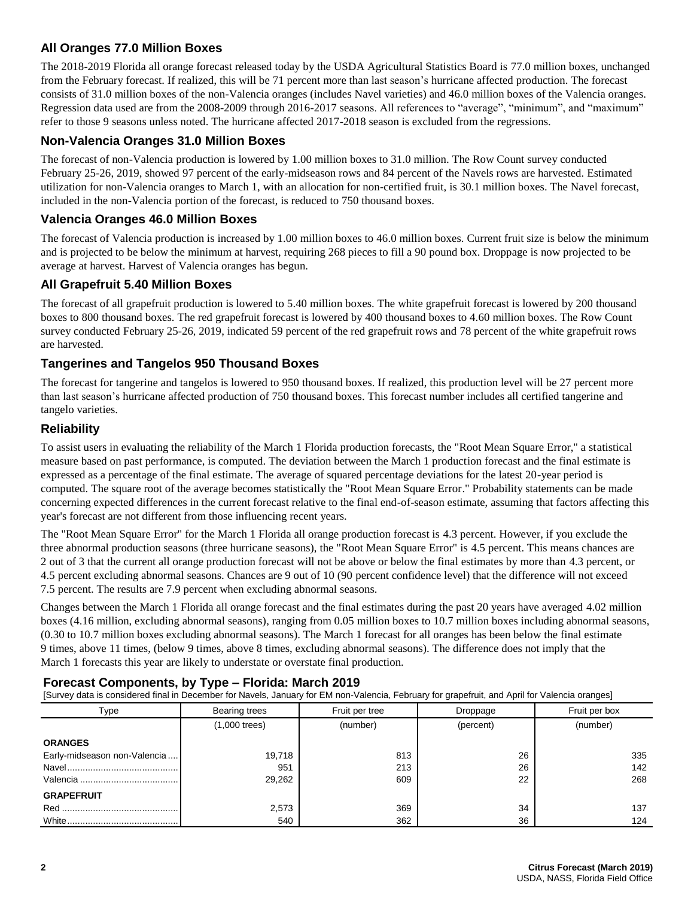# **All Oranges 77.0 Million Boxes**

The 2018-2019 Florida all orange forecast released today by the USDA Agricultural Statistics Board is 77.0 million boxes, unchanged from the February forecast. If realized, this will be 71 percent more than last season's hurricane affected production. The forecast consists of 31.0 million boxes of the non-Valencia oranges (includes Navel varieties) and 46.0 million boxes of the Valencia oranges. Regression data used are from the 2008-2009 through 2016-2017 seasons. All references to "average", "minimum", and "maximum" refer to those 9 seasons unless noted. The hurricane affected 2017-2018 season is excluded from the regressions.

## **Non-Valencia Oranges 31.0 Million Boxes**

The forecast of non-Valencia production is lowered by 1.00 million boxes to 31.0 million. The Row Count survey conducted February 25-26, 2019, showed 97 percent of the early-midseason rows and 84 percent of the Navels rows are harvested. Estimated utilization for non-Valencia oranges to March 1, with an allocation for non-certified fruit, is 30.1 million boxes. The Navel forecast, included in the non-Valencia portion of the forecast, is reduced to 750 thousand boxes.

### **Valencia Oranges 46.0 Million Boxes**

The forecast of Valencia production is increased by 1.00 million boxes to 46.0 million boxes. Current fruit size is below the minimum and is projected to be below the minimum at harvest, requiring 268 pieces to fill a 90 pound box. Droppage is now projected to be average at harvest. Harvest of Valencia oranges has begun.

### **All Grapefruit 5.40 Million Boxes**

The forecast of all grapefruit production is lowered to 5.40 million boxes. The white grapefruit forecast is lowered by 200 thousand boxes to 800 thousand boxes. The red grapefruit forecast is lowered by 400 thousand boxes to 4.60 million boxes. The Row Count survey conducted February 25-26, 2019, indicated 59 percent of the red grapefruit rows and 78 percent of the white grapefruit rows are harvested.

## **Tangerines and Tangelos 950 Thousand Boxes**

The forecast for tangerine and tangelos is lowered to 950 thousand boxes. If realized, this production level will be 27 percent more than last season's hurricane affected production of 750 thousand boxes. This forecast number includes all certified tangerine and tangelo varieties.

### **Reliability**

To assist users in evaluating the reliability of the March 1 Florida production forecasts, the "Root Mean Square Error," a statistical measure based on past performance, is computed. The deviation between the March 1 production forecast and the final estimate is expressed as a percentage of the final estimate. The average of squared percentage deviations for the latest 20-year period is computed. The square root of the average becomes statistically the "Root Mean Square Error." Probability statements can be made concerning expected differences in the current forecast relative to the final end-of-season estimate, assuming that factors affecting this year's forecast are not different from those influencing recent years.

The "Root Mean Square Error" for the March 1 Florida all orange production forecast is 4.3 percent. However, if you exclude the three abnormal production seasons (three hurricane seasons), the "Root Mean Square Error" is 4.5 percent. This means chances are 2 out of 3 that the current all orange production forecast will not be above or below the final estimates by more than 4.3 percent, or 4.5 percent excluding abnormal seasons. Chances are 9 out of 10 (90 percent confidence level) that the difference will not exceed 7.5 percent. The results are 7.9 percent when excluding abnormal seasons.

Changes between the March 1 Florida all orange forecast and the final estimates during the past 20 years have averaged 4.02 million boxes (4.16 million, excluding abnormal seasons), ranging from 0.05 million boxes to 10.7 million boxes including abnormal seasons, (0.30 to 10.7 million boxes excluding abnormal seasons). The March 1 forecast for all oranges has been below the final estimate 9 times, above 11 times, (below 9 times, above 8 times, excluding abnormal seasons). The difference does not imply that the March 1 forecasts this year are likely to understate or overstate final production.

## **Forecast Components, by Type – Florida: March 2019**

[Survey data is considered final in December for Navels, January for EM non-Valencia, February for grapefruit, and April for Valencia oranges]

| Type                         | Bearing trees   | Fruit per tree | Droppage  | Fruit per box |  |
|------------------------------|-----------------|----------------|-----------|---------------|--|
|                              | $(1,000$ trees) | (number)       | (percent) | (number)      |  |
| <b>ORANGES</b>               |                 |                |           |               |  |
| Early-midseason non-Valencia | 19,718          | 813            | 26        | 335           |  |
|                              | 951             | 213            | 26        | 142           |  |
|                              | 29,262          | 609            | 22        | 268           |  |
| <b>GRAPEFRUIT</b>            |                 |                |           |               |  |
|                              | 2,573           | 369            | 34        | 137           |  |
|                              | 540             | 362            | 36        | 124           |  |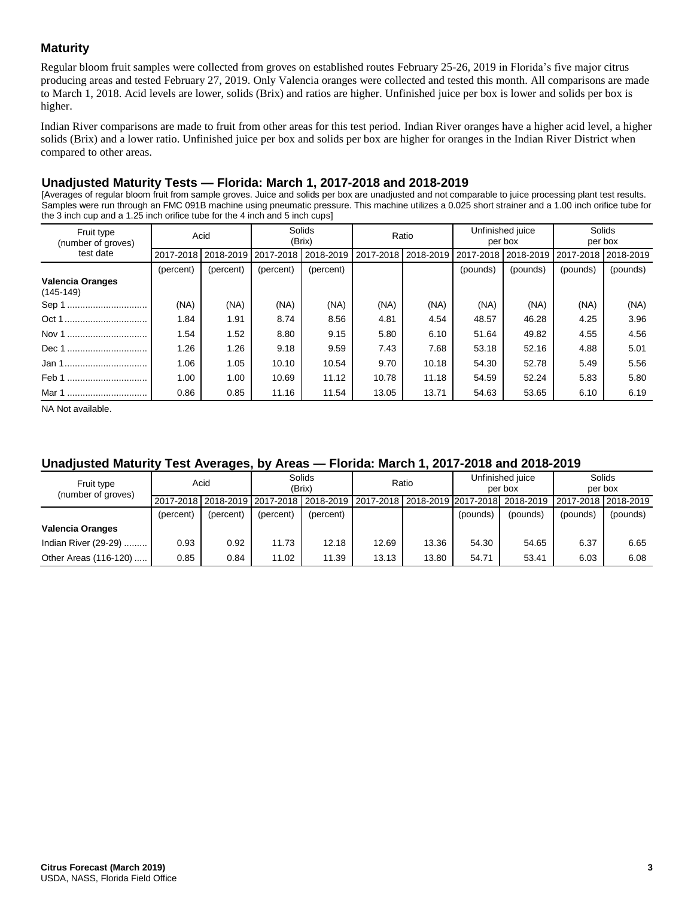## **Maturity**

Regular bloom fruit samples were collected from groves on established routes February 25-26, 2019 in Florida's five major citrus producing areas and tested February 27, 2019. Only Valencia oranges were collected and tested this month. All comparisons are made to March 1, 2018. Acid levels are lower, solids (Brix) and ratios are higher. Unfinished juice per box is lower and solids per box is higher.

Indian River comparisons are made to fruit from other areas for this test period. Indian River oranges have a higher acid level, a higher solids (Brix) and a lower ratio. Unfinished juice per box and solids per box are higher for oranges in the Indian River District when compared to other areas.

### **Unadjusted Maturity Tests — Florida: March 1, 2017-2018 and 2018-2019**

[Averages of regular bloom fruit from sample groves. Juice and solids per box are unadjusted and not comparable to juice processing plant test results. Samples were run through an FMC 091B machine using pneumatic pressure. This machine utilizes a 0.025 short strainer and a 1.00 inch orifice tube for the 3 inch cup and a 1.25 inch orifice tube for the 4 inch and 5 inch cups]

| Fruit type<br>(number of groves)       | Acid      |                     | Solids<br>(Brix) |           | Ratio     |           | Unfinished juice<br>per box |          | Solids<br>per box |           |
|----------------------------------------|-----------|---------------------|------------------|-----------|-----------|-----------|-----------------------------|----------|-------------------|-----------|
| test date                              |           | 2017-2018 2018-2019 | 2017-2018        | 2018-2019 | 2017-2018 | 2018-2019 | 2017-2018 2018-2019         |          | 2017-2018         | 2018-2019 |
|                                        | (percent) | (percent)           | (percent)        | (percent) |           |           | (pounds)                    | (pounds) | (pounds)          | (pounds)  |
| <b>Valencia Oranges</b><br>$(145-149)$ |           |                     |                  |           |           |           |                             |          |                   |           |
|                                        | (NA)      | (NA)                | (NA)             | (NA)      | (NA)      | (NA)      | (NA)                        | (NA)     | (NA)              | (NA)      |
|                                        | 1.84      | 1.91                | 8.74             | 8.56      | 4.81      | 4.54      | 48.57                       | 46.28    | 4.25              | 3.96      |
| Nov 1                                  | 1.54      | 1.52                | 8.80             | 9.15      | 5.80      | 6.10      | 51.64                       | 49.82    | 4.55              | 4.56      |
| Dec 1                                  | 1.26      | 1.26                | 9.18             | 9.59      | 7.43      | 7.68      | 53.18                       | 52.16    | 4.88              | 5.01      |
| Jan 1                                  | 1.06      | 1.05                | 10.10            | 10.54     | 9.70      | 10.18     | 54.30                       | 52.78    | 5.49              | 5.56      |
| Feb 1                                  | 1.00      | 1.00                | 10.69            | 11.12     | 10.78     | 11.18     | 54.59                       | 52.24    | 5.83              | 5.80      |
| Mar 1                                  | 0.86      | 0.85                | 11.16            | 11.54     | 13.05     | 13.71     | 54.63                       | 53.65    | 6.10              | 6.19      |

NA Not available.

## **Unadjusted Maturity Test Averages, by Areas — Florida: March 1, 2017-2018 and 2018-2019**

| Fruit type<br>(number of groves) | Acid      |           | Solids<br>(Brix) |                                                                                   | Ratio |       | Unfinished juice<br>per box |           | Solids<br>per box   |          |
|----------------------------------|-----------|-----------|------------------|-----------------------------------------------------------------------------------|-------|-------|-----------------------------|-----------|---------------------|----------|
|                                  |           |           |                  | 2017-2018   2018-2019   2017-2018   2018-2019   2017-2018   2018-2019   2017-2018 |       |       |                             | 2018-2019 | 2017-2018 2018-2019 |          |
|                                  | (percent) | (percent) | (percent)        | (percent)                                                                         |       |       | (pounds)                    | (pounds)  | (pounds)            | (pounds) |
| <b>Valencia Oranges</b>          |           |           |                  |                                                                                   |       |       |                             |           |                     |          |
| Indian River (29-29)             | 0.93      | 0.92      | 11.73            | 12.18                                                                             | 12.69 | 13.36 | 54.30                       | 54.65     | 6.37                | 6.65     |
| Other Areas (116-120)            | 0.85      | 0.84      | 11.02            | 11.39                                                                             | 13.13 | 13.80 | 54.71                       | 53.41     | 6.03                | 6.08     |